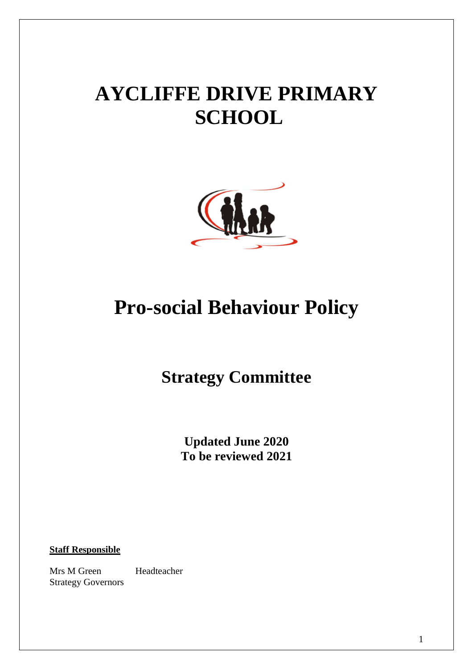# **AYCLIFFE DRIVE PRIMARY SCHOOL**



## **Pro-social Behaviour Policy**

### **Strategy Committee**

**Updated June 2020 To be reviewed 2021**

**Staff Responsible**

Mrs M Green Headteacher Strategy Governors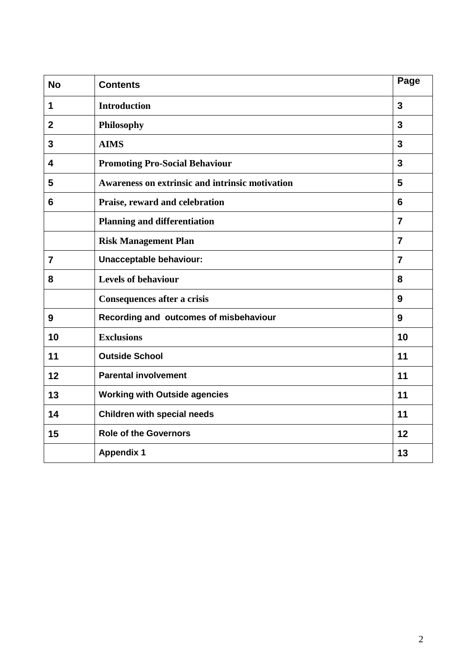| <b>No</b>      | <b>Contents</b>                                      | Page           |
|----------------|------------------------------------------------------|----------------|
| 1              | <b>Introduction</b>                                  | $\overline{3}$ |
| $\mathbf{2}$   | Philosophy                                           |                |
| 3              | <b>AIMS</b>                                          |                |
| 4              | 3<br><b>Promoting Pro-Social Behaviour</b>           |                |
| 5              | Awareness on extrinsic and intrinsic motivation<br>5 |                |
| 6              | Praise, reward and celebration<br>6                  |                |
|                | <b>Planning and differentiation</b>                  | $\overline{7}$ |
|                | <b>Risk Management Plan</b>                          | $\overline{7}$ |
| $\overline{7}$ | Unacceptable behaviour:<br>$\overline{7}$            |                |
| 8              | <b>Levels of behaviour</b>                           | 8              |
|                | <b>Consequences after a crisis</b>                   | 9              |
| 9              | Recording and outcomes of misbehaviour<br>9          |                |
| 10             | <b>Exclusions</b>                                    |                |
| 11             | <b>Outside School</b>                                |                |
| 12             | <b>Parental involvement</b><br>11                    |                |
| 13             | <b>Working with Outside agencies</b><br>11           |                |
| 14             | <b>Children with special needs</b>                   | 11             |
| 15             | <b>Role of the Governors</b>                         | 12             |
|                | <b>Appendix 1</b>                                    | 13             |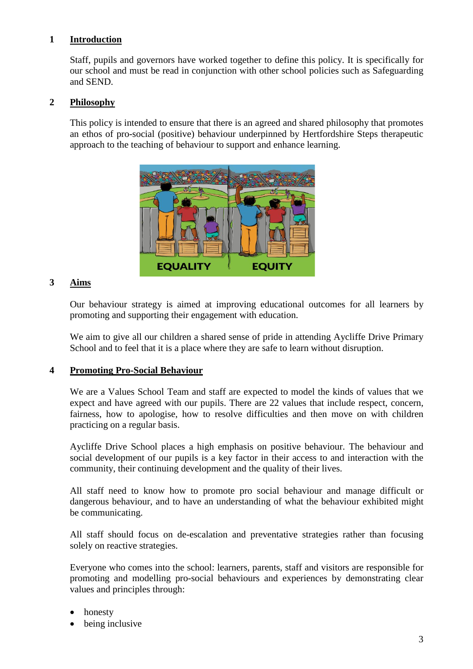#### **1 Introduction**

Staff, pupils and governors have worked together to define this policy. It is specifically for our school and must be read in conjunction with other school policies such as Safeguarding and SEND.

#### **2 Philosophy**

This policy is intended to ensure that there is an agreed and shared philosophy that promotes an ethos of pro-social (positive) behaviour underpinned by Hertfordshire Steps therapeutic approach to the teaching of behaviour to support and enhance learning.



#### **3 Aims**

Our behaviour strategy is aimed at improving educational outcomes for all learners by promoting and supporting their engagement with education.

We aim to give all our children a shared sense of pride in attending Aycliffe Drive Primary School and to feel that it is a place where they are safe to learn without disruption.

#### **4 Promoting Pro-Social Behaviour**

We are a Values School Team and staff are expected to model the kinds of values that we expect and have agreed with our pupils. There are 22 values that include respect, concern, fairness, how to apologise, how to resolve difficulties and then move on with children practicing on a regular basis.

Aycliffe Drive School places a high emphasis on positive behaviour. The behaviour and social development of our pupils is a key factor in their access to and interaction with the community, their continuing development and the quality of their lives.

All staff need to know how to promote pro social behaviour and manage difficult or dangerous behaviour, and to have an understanding of what the behaviour exhibited might be communicating.

All staff should focus on de-escalation and preventative strategies rather than focusing solely on reactive strategies.

Everyone who comes into the school: learners, parents, staff and visitors are responsible for promoting and modelling pro-social behaviours and experiences by demonstrating clear values and principles through:

- honesty
- being inclusive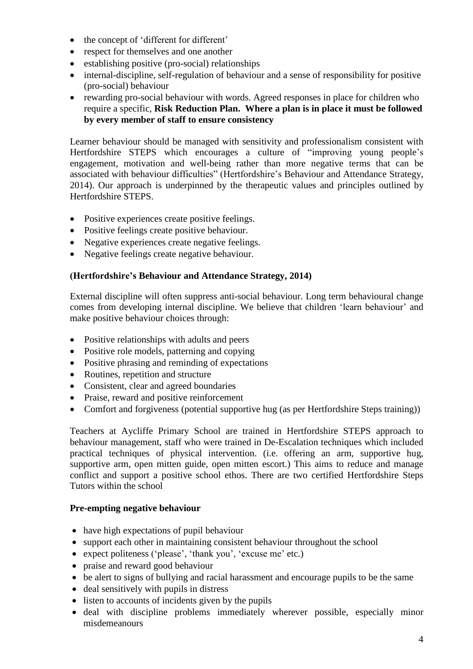- the concept of 'different for different'
- respect for themselves and one another
- establishing positive (pro-social) relationships
- internal-discipline, self-regulation of behaviour and a sense of responsibility for positive (pro-social) behaviour
- rewarding pro-social behaviour with words. Agreed responses in place for children who require a specific, **Risk Reduction Plan. Where a plan is in place it must be followed by every member of staff to ensure consistency**

Learner behaviour should be managed with sensitivity and professionalism consistent with Hertfordshire STEPS which encourages a culture of "improving young people's engagement, motivation and well-being rather than more negative terms that can be associated with behaviour difficulties" (Hertfordshire's Behaviour and Attendance Strategy, 2014). Our approach is underpinned by the therapeutic values and principles outlined by Hertfordshire STEPS.

- Positive experiences create positive feelings.
- Positive feelings create positive behaviour.
- Negative experiences create negative feelings.
- Negative feelings create negative behaviour.

#### **(Hertfordshire's Behaviour and Attendance Strategy, 2014)**

External discipline will often suppress anti-social behaviour. Long term behavioural change comes from developing internal discipline. We believe that children 'learn behaviour' and make positive behaviour choices through:

- Positive relationships with adults and peers
- Positive role models, patterning and copying
- Positive phrasing and reminding of expectations
- Routines, repetition and structure
- Consistent, clear and agreed boundaries
- Praise, reward and positive reinforcement
- Comfort and forgiveness (potential supportive hug (as per Hertfordshire Steps training))

Teachers at Aycliffe Primary School are trained in Hertfordshire STEPS approach to behaviour management, staff who were trained in De-Escalation techniques which included practical techniques of physical intervention. (i.e. offering an arm, supportive hug, supportive arm, open mitten guide, open mitten escort.) This aims to reduce and manage conflict and support a positive school ethos. There are two certified Hertfordshire Steps Tutors within the school

#### **Pre-empting negative behaviour**

- have high expectations of pupil behaviour
- support each other in maintaining consistent behaviour throughout the school
- expect politeness ('please', 'thank you', 'excuse me' etc.)
- praise and reward good behaviour
- be alert to signs of bullying and racial harassment and encourage pupils to be the same
- deal sensitively with pupils in distress
- listen to accounts of incidents given by the pupils
- deal with discipline problems immediately wherever possible, especially minor misdemeanours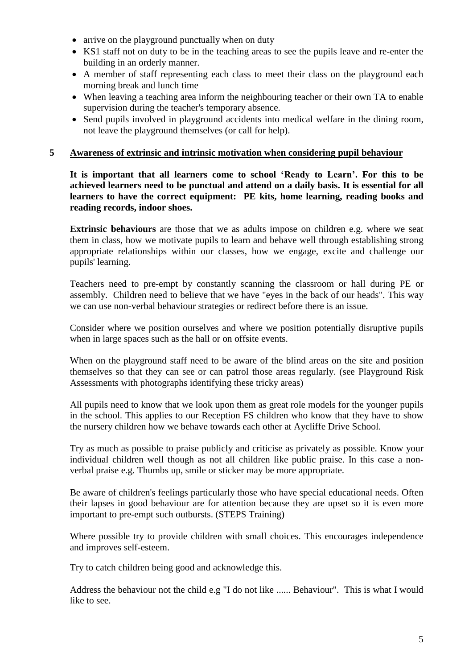- arrive on the playground punctually when on duty
- KS1 staff not on duty to be in the teaching areas to see the pupils leave and re-enter the building in an orderly manner.
- A member of staff representing each class to meet their class on the playground each morning break and lunch time
- When leaving a teaching area inform the neighbouring teacher or their own TA to enable supervision during the teacher's temporary absence.
- Send pupils involved in playground accidents into medical welfare in the dining room, not leave the playground themselves (or call for help).

#### **5 Awareness of extrinsic and intrinsic motivation when considering pupil behaviour**

**It is important that all learners come to school 'Ready to Learn'. For this to be achieved learners need to be punctual and attend on a daily basis. It is essential for all learners to have the correct equipment: PE kits, home learning, reading books and reading records, indoor shoes.**

**Extrinsic behaviours** are those that we as adults impose on children e.g. where we seat them in class, how we motivate pupils to learn and behave well through establishing strong appropriate relationships within our classes, how we engage, excite and challenge our pupils' learning.

Teachers need to pre-empt by constantly scanning the classroom or hall during PE or assembly. Children need to believe that we have "eyes in the back of our heads". This way we can use non-verbal behaviour strategies or redirect before there is an issue.

Consider where we position ourselves and where we position potentially disruptive pupils when in large spaces such as the hall or on offsite events.

When on the playground staff need to be aware of the blind areas on the site and position themselves so that they can see or can patrol those areas regularly. (see Playground Risk Assessments with photographs identifying these tricky areas)

All pupils need to know that we look upon them as great role models for the younger pupils in the school. This applies to our Reception FS children who know that they have to show the nursery children how we behave towards each other at Aycliffe Drive School.

Try as much as possible to praise publicly and criticise as privately as possible. Know your individual children well though as not all children like public praise. In this case a nonverbal praise e.g. Thumbs up, smile or sticker may be more appropriate.

Be aware of children's feelings particularly those who have special educational needs. Often their lapses in good behaviour are for attention because they are upset so it is even more important to pre-empt such outbursts. (STEPS Training)

Where possible try to provide children with small choices. This encourages independence and improves self-esteem.

Try to catch children being good and acknowledge this.

Address the behaviour not the child e.g "I do not like ...... Behaviour". This is what I would like to see.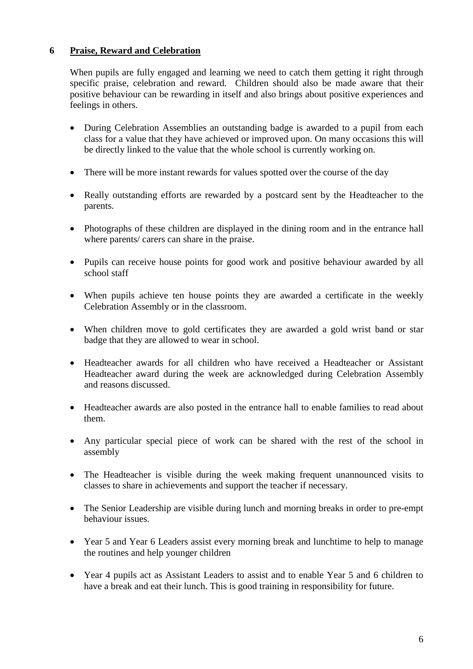#### **6 Praise, Reward and Celebration**

When pupils are fully engaged and learning we need to catch them getting it right through specific praise, celebration and reward. Children should also be made aware that their positive behaviour can be rewarding in itself and also brings about positive experiences and feelings in others.

- During Celebration Assemblies an outstanding badge is awarded to a pupil from each class for a value that they have achieved or improved upon. On many occasions this will be directly linked to the value that the whole school is currently working on.
- There will be more instant rewards for values spotted over the course of the day
- Really outstanding efforts are rewarded by a postcard sent by the Headteacher to the parents.
- Photographs of these children are displayed in the dining room and in the entrance hall where parents/ carers can share in the praise.
- Pupils can receive house points for good work and positive behaviour awarded by all school staff
- When pupils achieve ten house points they are awarded a certificate in the weekly Celebration Assembly or in the classroom.
- When children move to gold certificates they are awarded a gold wrist band or star badge that they are allowed to wear in school.
- Headteacher awards for all children who have received a Headteacher or Assistant Headteacher award during the week are acknowledged during Celebration Assembly and reasons discussed.
- Headteacher awards are also posted in the entrance hall to enable families to read about them.
- Any particular special piece of work can be shared with the rest of the school in assembly
- The Headteacher is visible during the week making frequent unannounced visits to classes to share in achievements and support the teacher if necessary.
- The Senior Leadership are visible during lunch and morning breaks in order to pre-empt behaviour issues.
- Year 5 and Year 6 Leaders assist every morning break and lunchtime to help to manage the routines and help younger children
- Year 4 pupils act as Assistant Leaders to assist and to enable Year 5 and 6 children to have a break and eat their lunch. This is good training in responsibility for future.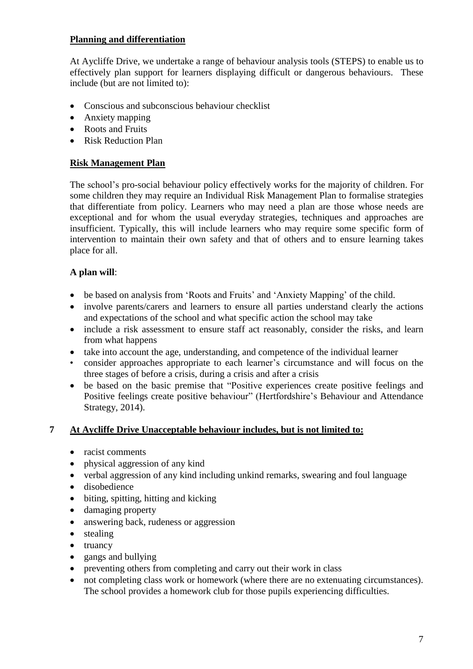#### **Planning and differentiation**

At Aycliffe Drive, we undertake a range of behaviour analysis tools (STEPS) to enable us to effectively plan support for learners displaying difficult or dangerous behaviours. These include (but are not limited to):

- Conscious and subconscious behaviour checklist
- Anxiety mapping
- Roots and Fruits
- Risk Reduction Plan

#### **Risk Management Plan**

The school's pro-social behaviour policy effectively works for the majority of children. For some children they may require an Individual Risk Management Plan to formalise strategies that differentiate from policy. Learners who may need a plan are those whose needs are exceptional and for whom the usual everyday strategies, techniques and approaches are insufficient. Typically, this will include learners who may require some specific form of intervention to maintain their own safety and that of others and to ensure learning takes place for all.

#### **A plan will**:

- be based on analysis from 'Roots and Fruits' and 'Anxiety Mapping' of the child.
- involve parents/carers and learners to ensure all parties understand clearly the actions and expectations of the school and what specific action the school may take
- include a risk assessment to ensure staff act reasonably, consider the risks, and learn from what happens
- take into account the age, understanding, and competence of the individual learner
- consider approaches appropriate to each learner's circumstance and will focus on the three stages of before a crisis, during a crisis and after a crisis
- be based on the basic premise that "Positive experiences create positive feelings and Positive feelings create positive behaviour" (Hertfordshire's Behaviour and Attendance Strategy, 2014).

#### **7 At Aycliffe Drive Unacceptable behaviour includes, but is not limited to:**

- racist comments
- physical aggression of any kind
- verbal aggression of any kind including unkind remarks, swearing and foul language
- disobedience
- biting, spitting, hitting and kicking
- damaging property
- answering back, rudeness or aggression
- stealing
- $\bullet$  truancy
- gangs and bullying
- preventing others from completing and carry out their work in class
- not completing class work or homework (where there are no extenuating circumstances). The school provides a homework club for those pupils experiencing difficulties.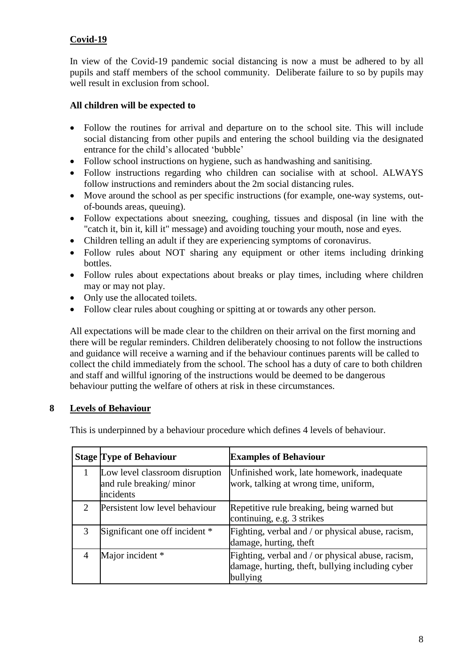#### **Covid-19**

In view of the Covid-19 pandemic social distancing is now a must be adhered to by all pupils and staff members of the school community. Deliberate failure to so by pupils may well result in exclusion from school.

#### **All children will be expected to**

- Follow the routines for arrival and departure on to the school site. This will include social distancing from other pupils and entering the school building via the designated entrance for the child's allocated 'bubble'
- Follow school instructions on hygiene, such as handwashing and sanitising.
- Follow instructions regarding who children can socialise with at school. ALWAYS follow instructions and reminders about the 2m social distancing rules.
- Move around the school as per specific instructions (for example, one-way systems, outof-bounds areas, queuing).
- Follow expectations about sneezing, coughing, tissues and disposal (in line with the "catch it, bin it, kill it" message) and avoiding touching your mouth, nose and eyes.
- Children telling an adult if they are experiencing symptoms of coronavirus.
- Follow rules about NOT sharing any equipment or other items including drinking bottles.
- Follow rules about expectations about breaks or play times, including where children may or may not play.
- Only use the allocated toilets.
- Follow clear rules about coughing or spitting at or towards any other person.

All expectations will be made clear to the children on their arrival on the first morning and there will be regular reminders. Children deliberately choosing to not follow the instructions and guidance will receive a warning and if the behaviour continues parents will be called to collect the child immediately from the school. The school has a duty of care to both children and staff and willful ignoring of the instructions would be deemed to be dangerous behaviour putting the welfare of others at risk in these circumstances.

#### **8 Levels of Behaviour**

This is underpinned by a behaviour procedure which defines 4 levels of behaviour.

|                             | <b>Stage Type of Behaviour</b>                                         | <b>Examples of Behaviour</b>                                                                                      |
|-----------------------------|------------------------------------------------------------------------|-------------------------------------------------------------------------------------------------------------------|
|                             | Low level classroom disruption<br>and rule breaking/minor<br>incidents | Unfinished work, late homework, inadequate<br>work, talking at wrong time, uniform,                               |
| $\mathcal{D}_{\mathcal{L}}$ | Persistent low level behaviour                                         | Repetitive rule breaking, being warned but<br>continuing, e.g. 3 strikes                                          |
| $\mathcal{R}$               | Significant one off incident *                                         | Fighting, verbal and / or physical abuse, racism,<br>damage, hurting, theft                                       |
|                             | Major incident *                                                       | Fighting, verbal and / or physical abuse, racism,<br>damage, hurting, theft, bullying including cyber<br>bullying |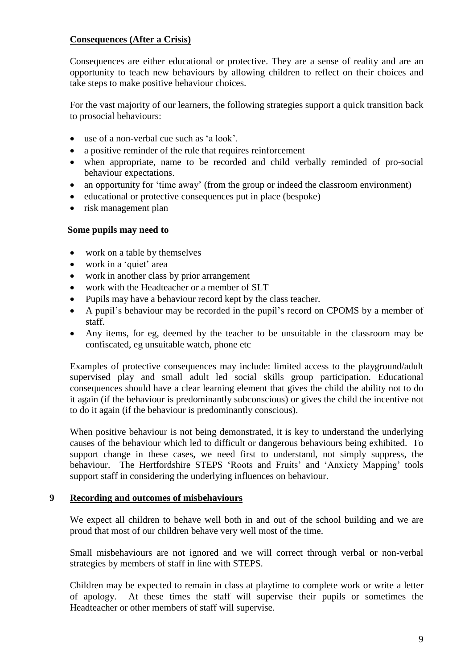#### **Consequences (After a Crisis)**

Consequences are either educational or protective. They are a sense of reality and are an opportunity to teach new behaviours by allowing children to reflect on their choices and take steps to make positive behaviour choices.

For the vast majority of our learners, the following strategies support a quick transition back to prosocial behaviours:

- use of a non-verbal cue such as 'a look'.
- a positive reminder of the rule that requires reinforcement
- when appropriate, name to be recorded and child verbally reminded of pro-social behaviour expectations.
- an opportunity for 'time away' (from the group or indeed the classroom environment)
- educational or protective consequences put in place (bespoke)
- risk management plan

#### **Some pupils may need to**

- work on a table by themselves
- work in a 'quiet' area
- work in another class by prior arrangement
- work with the Headteacher or a member of SLT
- Pupils may have a behaviour record kept by the class teacher.
- A pupil's behaviour may be recorded in the pupil's record on CPOMS by a member of staff.
- Any items, for eg, deemed by the teacher to be unsuitable in the classroom may be confiscated, eg unsuitable watch, phone etc

Examples of protective consequences may include: limited access to the playground/adult supervised play and small adult led social skills group participation. Educational consequences should have a clear learning element that gives the child the ability not to do it again (if the behaviour is predominantly subconscious) or gives the child the incentive not to do it again (if the behaviour is predominantly conscious).

When positive behaviour is not being demonstrated, it is key to understand the underlying causes of the behaviour which led to difficult or dangerous behaviours being exhibited. To support change in these cases, we need first to understand, not simply suppress, the behaviour. The Hertfordshire STEPS 'Roots and Fruits' and 'Anxiety Mapping' tools support staff in considering the underlying influences on behaviour.

#### **9 Recording and outcomes of misbehaviours**

We expect all children to behave well both in and out of the school building and we are proud that most of our children behave very well most of the time.

Small misbehaviours are not ignored and we will correct through verbal or non-verbal strategies by members of staff in line with STEPS.

Children may be expected to remain in class at playtime to complete work or write a letter of apology. At these times the staff will supervise their pupils or sometimes the Headteacher or other members of staff will supervise.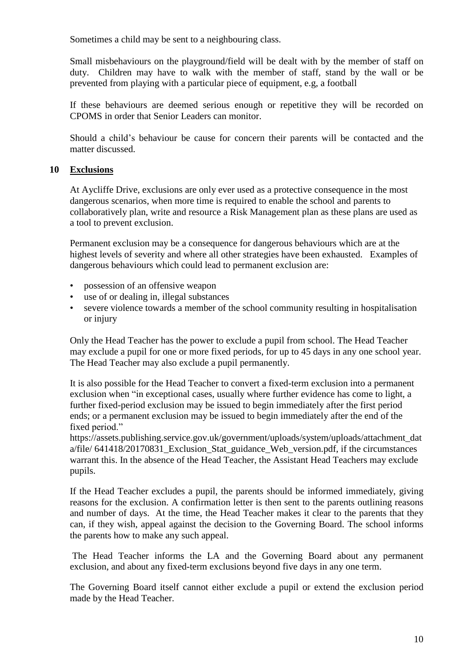Sometimes a child may be sent to a neighbouring class.

Small misbehaviours on the playground/field will be dealt with by the member of staff on duty. Children may have to walk with the member of staff, stand by the wall or be prevented from playing with a particular piece of equipment, e.g, a football

If these behaviours are deemed serious enough or repetitive they will be recorded on CPOMS in order that Senior Leaders can monitor.

Should a child's behaviour be cause for concern their parents will be contacted and the matter discussed.

#### **10 Exclusions**

At Aycliffe Drive, exclusions are only ever used as a protective consequence in the most dangerous scenarios, when more time is required to enable the school and parents to collaboratively plan, write and resource a Risk Management plan as these plans are used as a tool to prevent exclusion.

Permanent exclusion may be a consequence for dangerous behaviours which are at the highest levels of severity and where all other strategies have been exhausted. Examples of dangerous behaviours which could lead to permanent exclusion are:

- possession of an offensive weapon
- use of or dealing in, illegal substances
- severe violence towards a member of the school community resulting in hospitalisation or injury

Only the Head Teacher has the power to exclude a pupil from school. The Head Teacher may exclude a pupil for one or more fixed periods, for up to 45 days in any one school year. The Head Teacher may also exclude a pupil permanently.

It is also possible for the Head Teacher to convert a fixed-term exclusion into a permanent exclusion when "in exceptional cases, usually where further evidence has come to light, a further fixed-period exclusion may be issued to begin immediately after the first period ends; or a permanent exclusion may be issued to begin immediately after the end of the fixed period."

https://assets.publishing.service.gov.uk/government/uploads/system/uploads/attachment\_dat a/file/ 641418/20170831\_Exclusion\_Stat\_guidance\_Web\_version.pdf, if the circumstances warrant this. In the absence of the Head Teacher, the Assistant Head Teachers may exclude pupils.

If the Head Teacher excludes a pupil, the parents should be informed immediately, giving reasons for the exclusion. A confirmation letter is then sent to the parents outlining reasons and number of days. At the time, the Head Teacher makes it clear to the parents that they can, if they wish, appeal against the decision to the Governing Board. The school informs the parents how to make any such appeal.

The Head Teacher informs the LA and the Governing Board about any permanent exclusion, and about any fixed-term exclusions beyond five days in any one term.

The Governing Board itself cannot either exclude a pupil or extend the exclusion period made by the Head Teacher.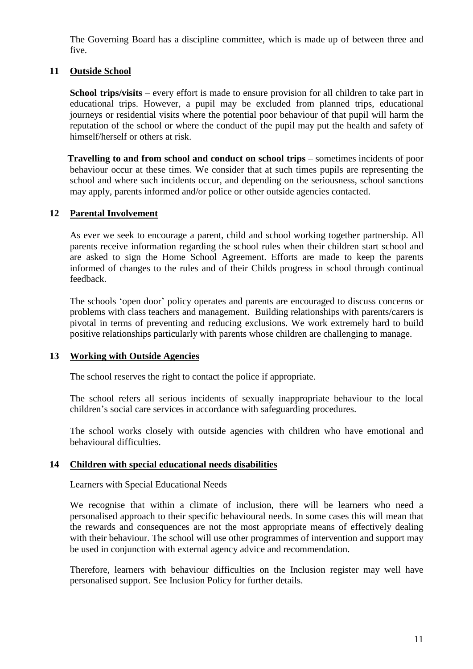The Governing Board has a discipline committee, which is made up of between three and five.

#### **11 Outside School**

**School trips/visits** – every effort is made to ensure provision for all children to take part in educational trips. However, a pupil may be excluded from planned trips, educational journeys or residential visits where the potential poor behaviour of that pupil will harm the reputation of the school or where the conduct of the pupil may put the health and safety of himself/herself or others at risk.

**Travelling to and from school and conduct on school trips** – sometimes incidents of poor behaviour occur at these times. We consider that at such times pupils are representing the school and where such incidents occur, and depending on the seriousness, school sanctions may apply, parents informed and/or police or other outside agencies contacted.

#### **12 Parental Involvement**

As ever we seek to encourage a parent, child and school working together partnership. All parents receive information regarding the school rules when their children start school and are asked to sign the Home School Agreement. Efforts are made to keep the parents informed of changes to the rules and of their Childs progress in school through continual feedback.

The schools 'open door' policy operates and parents are encouraged to discuss concerns or problems with class teachers and management. Building relationships with parents/carers is pivotal in terms of preventing and reducing exclusions. We work extremely hard to build positive relationships particularly with parents whose children are challenging to manage.

#### **13 Working with Outside Agencies**

The school reserves the right to contact the police if appropriate.

The school refers all serious incidents of sexually inappropriate behaviour to the local children's social care services in accordance with safeguarding procedures.

The school works closely with outside agencies with children who have emotional and behavioural difficulties.

#### **14 Children with special educational needs disabilities**

Learners with Special Educational Needs

We recognise that within a climate of inclusion, there will be learners who need a personalised approach to their specific behavioural needs. In some cases this will mean that the rewards and consequences are not the most appropriate means of effectively dealing with their behaviour. The school will use other programmes of intervention and support may be used in conjunction with external agency advice and recommendation.

Therefore, learners with behaviour difficulties on the Inclusion register may well have personalised support. See Inclusion Policy for further details.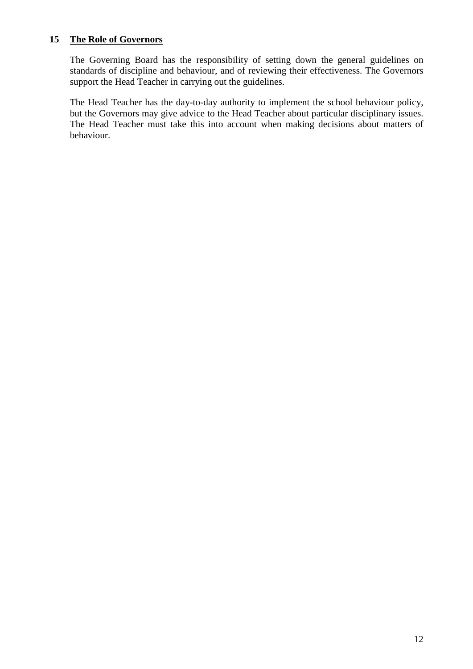#### **15 The Role of Governors**

The Governing Board has the responsibility of setting down the general guidelines on standards of discipline and behaviour, and of reviewing their effectiveness. The Governors support the Head Teacher in carrying out the guidelines.

The Head Teacher has the day-to-day authority to implement the school behaviour policy, but the Governors may give advice to the Head Teacher about particular disciplinary issues. The Head Teacher must take this into account when making decisions about matters of behaviour.